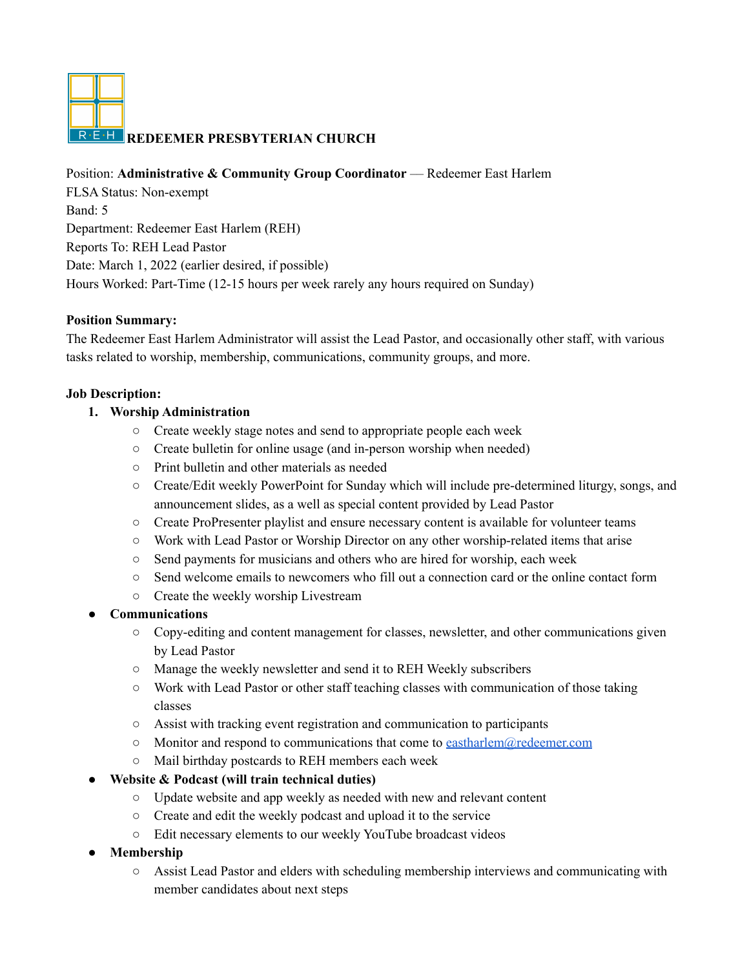# **REH REDEEMER PRESBYTERIAN CHURCH**

## Position: **Administrative & Community Group Coordinator** –– Redeemer East Harlem

FLSA Status: Non-exempt Band: 5 Department: Redeemer East Harlem (REH) Reports To: REH Lead Pastor Date: March 1, 2022 (earlier desired, if possible) Hours Worked: Part-Time (12-15 hours per week rarely any hours required on Sunday)

## **Position Summary:**

The Redeemer East Harlem Administrator will assist the Lead Pastor, and occasionally other staff, with various tasks related to worship, membership, communications, community groups, and more.

## **Job Description:**

# **1. Worship Administration**

- Create weekly stage notes and send to appropriate people each week
- Create bulletin for online usage (and in-person worship when needed)
- Print bulletin and other materials as needed
- Create/Edit weekly PowerPoint for Sunday which will include pre-determined liturgy, songs, and announcement slides, as a well as special content provided by Lead Pastor
- Create ProPresenter playlist and ensure necessary content is available for volunteer teams
- Work with Lead Pastor or Worship Director on any other worship-related items that arise
- Send payments for musicians and others who are hired for worship, each week
- Send welcome emails to newcomers who fill out a connection card or the online contact form
- Create the weekly worship Livestream
- **● Communications**
	- Copy-editing and content management for classes, newsletter, and other communications given by Lead Pastor
	- Manage the weekly newsletter and send it to REH Weekly subscribers
	- Work with Lead Pastor or other staff teaching classes with communication of those taking classes
	- Assist with tracking event registration and communication to participants
	- $\circ$  Monitor and respond to communications that come to [eastharlem@redeemer.com](mailto:eastharlem@redeemer.com)
	- Mail birthday postcards to REH members each week
- **● Website & Podcast (will train technical duties)**
	- Update website and app weekly as needed with new and relevant content
	- Create and edit the weekly podcast and upload it to the service
	- Edit necessary elements to our weekly YouTube broadcast videos
- **● Membership**
	- Assist Lead Pastor and elders with scheduling membership interviews and communicating with member candidates about next steps